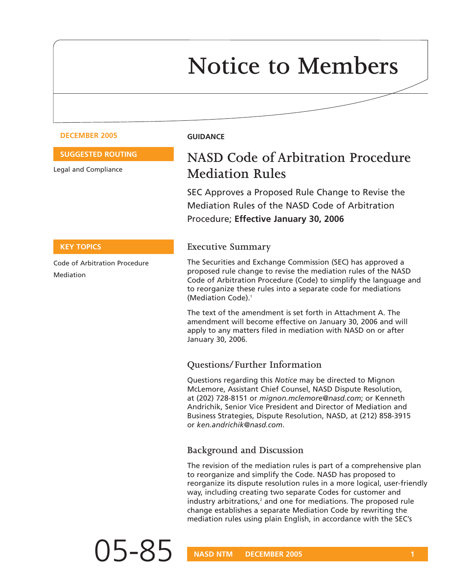# **Notice to Members**

#### **DECEMBER 2005 GUIDANCE**

#### **SUGGESTED ROUTING**

Legal and Compliance

**KEY TOPICS**

Mediation

Code of Arbitration Procedure

# **NASD Code of Arbitration Procedure Mediation Rules**

SEC Approves a Proposed Rule Change to Revise the Mediation Rules of the NASD Code of Arbitration Procedure; **Effective January 30, 2006**

#### **Executive Summary**

The Securities and Exchange Commission (SEC) has approved a proposed rule change to revise the mediation rules of the NASD Code of Arbitration Procedure (Code) to simplify the language and to reorganize these rules into a separate code for mediations (Mediation Code).1

The text of the amendment is set forth in Attachment A. The amendment will become effective on January 30, 2006 and will apply to any matters filed in mediation with NASD on or after January 30, 2006.

#### **Questions/Further Information**

Questions regarding this *Notice* may be directed to Mignon McLemore, Assistant Chief Counsel, NASD Dispute Resolution, at (202) 728-8151 or *mignon.mclemore@nasd.com*; or Kenneth Andrichik, Senior Vice President and Director of Mediation and Business Strategies, Dispute Resolution, NASD, at (212) 858-3915 or *ken.andrichik@nasd.com*.

#### **Background and Discussion**

The revision of the mediation rules is part of a comprehensive plan to reorganize and simplify the Code. NASD has proposed to reorganize its dispute resolution rules in a more logical, user-friendly way, including creating two separate Codes for customer and industry arbitrations,<sup>2</sup> and one for mediations. The proposed rule change establishes a separate Mediation Code by rewriting the mediation rules using plain English, in accordance with the SEC's

05-85 **NASD NTM DECEMBER 2005** 1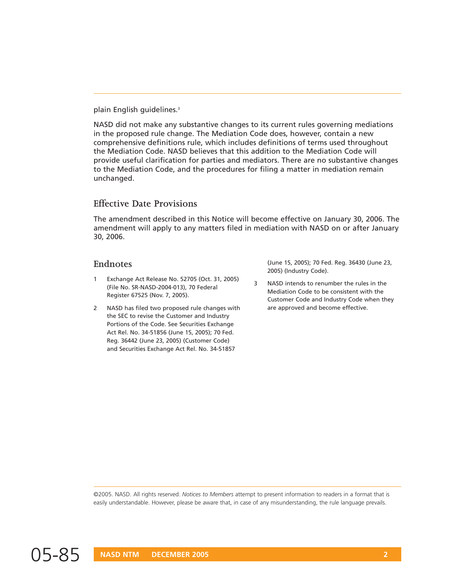plain English guidelines.3

NASD did not make any substantive changes to its current rules governing mediations in the proposed rule change. The Mediation Code does, however, contain a new comprehensive definitions rule, which includes definitions of terms used throughout the Mediation Code. NASD believes that this addition to the Mediation Code will provide useful clarification for parties and mediators. There are no substantive changes to the Mediation Code, and the procedures for filing a matter in mediation remain unchanged.

#### **Effective Date Provisions**

The amendment described in this Notice will become effective on January 30, 2006. The amendment will apply to any matters filed in mediation with NASD on or after January 30, 2006.

#### **Endnotes**

- 1 Exchange Act Release No. 52705 (Oct. 31, 2005) (File No. SR-NASD-2004-013), 70 Federal Register 67525 (Nov. 7, 2005).
- 2 NASD has filed two proposed rule changes with the SEC to revise the Customer and Industry Portions of the Code. See Securities Exchange Act Rel. No. 34-51856 (June 15, 2005); 70 Fed. Reg. 36442 (June 23, 2005) (Customer Code) and Securities Exchange Act Rel. No. 34-51857

(June 15, 2005); 70 Fed. Reg. 36430 (June 23, 2005) (Industry Code).

3 NASD intends to renumber the rules in the Mediation Code to be consistent with the Customer Code and Industry Code when they are approved and become effective.

©2005. NASD. All rights reserved. *Notices to Members* attempt to present information to readers in a format that is easily understandable. However, please be aware that, in case of any misunderstanding, the rule language prevails.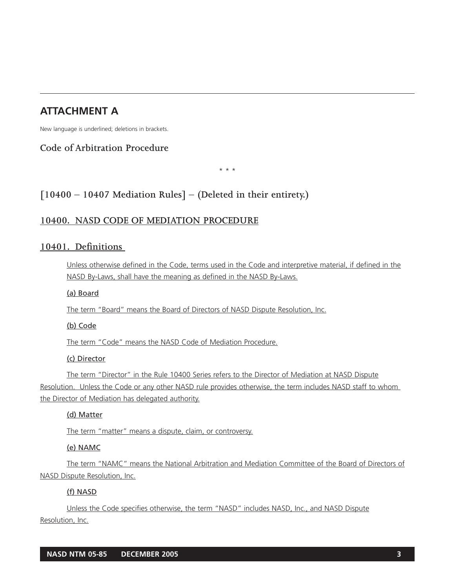# **ATTACHMENT A**

New language is underlined; deletions in brackets.

# **Code of Arbitration Procedure**

\* \* \*

# **[10400 – 10407 Mediation Rules] – (Deleted in their entirety.)**

## **10400. NASD CODE OF MEDIATION PROCEDURE**

# **10401. Definitions**

Unless otherwise defined in the Code, terms used in the Code and interpretive material, if defined in the NASD By-Laws, shall have the meaning as defined in the NASD By-Laws.

(a) Board

The term "Board" means the Board of Directors of NASD Dispute Resolution, Inc.

#### (b) Code

The term "Code" means the NASD Code of Mediation Procedure.

#### (c) Director

The term "Director" in the Rule 10400 Series refers to the Director of Mediation at NASD Dispute Resolution. Unless the Code or any other NASD rule provides otherwise, the term includes NASD staff to whom the Director of Mediation has delegated authority.

#### (d) Matter

The term "matter" means a dispute, claim, or controversy.

#### (e) NAMC

The term "NAMC" means the National Arbitration and Mediation Committee of the Board of Directors of NASD Dispute Resolution, Inc.

#### (f) NASD

Unless the Code specifies otherwise, the term "NASD" includes NASD, Inc., and NASD Dispute Resolution, Inc.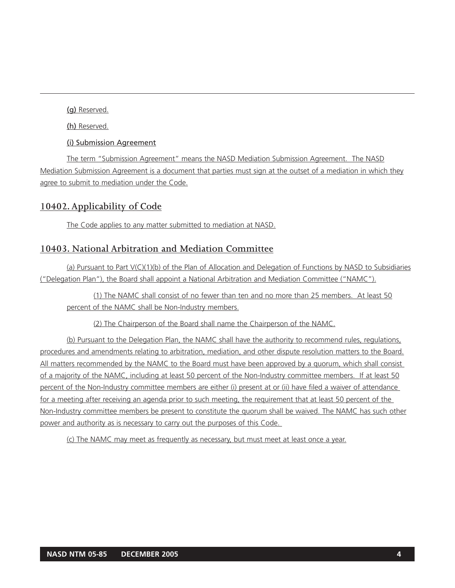(g) Reserved.

(h) Reserved.

(i) Submission Agreement

The term "Submission Agreement" means the NASD Mediation Submission Agreement. The NASD Mediation Submission Agreement is a document that parties must sign at the outset of a mediation in which they agree to submit to mediation under the Code.

# **10402. Applicability of Code**

The Code applies to any matter submitted to mediation at NASD.

# **10403. National Arbitration and Mediation Committee**

(a) Pursuant to Part V(C)(1)(b) of the Plan of Allocation and Delegation of Functions by NASD to Subsidiaries ("Delegation Plan"), the Board shall appoint a National Arbitration and Mediation Committee ("NAMC").

(1) The NAMC shall consist of no fewer than ten and no more than 25 members. At least 50 percent of the NAMC shall be Non-Industry members.

(2) The Chairperson of the Board shall name the Chairperson of the NAMC.

(b) Pursuant to the Delegation Plan, the NAMC shall have the authority to recommend rules, regulations, procedures and amendments relating to arbitration, mediation, and other dispute resolution matters to the Board. All matters recommended by the NAMC to the Board must have been approved by a quorum, which shall consist of a majority of the NAMC, including at least 50 percent of the Non-Industry committee members. If at least 50 percent of the Non-Industry committee members are either (i) present at or (ii) have filed a waiver of attendance for a meeting after receiving an agenda prior to such meeting, the requirement that at least 50 percent of the Non-Industry committee members be present to constitute the quorum shall be waived. The NAMC has such other power and authority as is necessary to carry out the purposes of this Code.

(c) The NAMC may meet as frequently as necessary, but must meet at least once a year.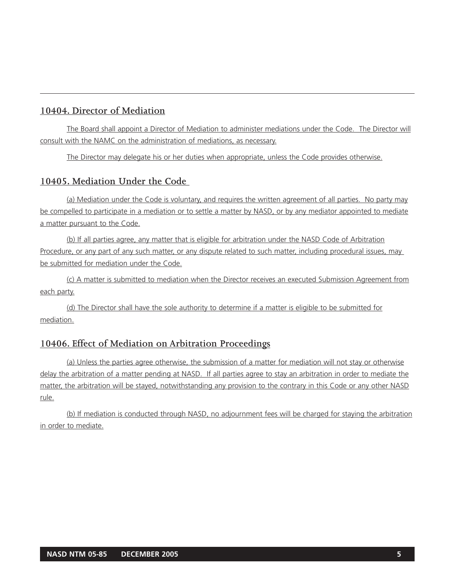# **10404. Director of Mediation**

The Board shall appoint a Director of Mediation to administer mediations under the Code. The Director will consult with the NAMC on the administration of mediations, as necessary.

The Director may delegate his or her duties when appropriate, unless the Code provides otherwise.

# **10405. Mediation Under the Code**

(a) Mediation under the Code is voluntary, and requires the written agreement of all parties. No party may be compelled to participate in a mediation or to settle a matter by NASD, or by any mediator appointed to mediate a matter pursuant to the Code.

(b) If all parties agree, any matter that is eligible for arbitration under the NASD Code of Arbitration Procedure, or any part of any such matter, or any dispute related to such matter, including procedural issues, may be submitted for mediation under the Code.

(c) A matter is submitted to mediation when the Director receives an executed Submission Agreement from each party.

(d) The Director shall have the sole authority to determine if a matter is eligible to be submitted for mediation.

# **10406. Effect of Mediation on Arbitration Proceedings**

(a) Unless the parties agree otherwise, the submission of a matter for mediation will not stay or otherwise delay the arbitration of a matter pending at NASD. If all parties agree to stay an arbitration in order to mediate the matter, the arbitration will be stayed, notwithstanding any provision to the contrary in this Code or any other NASD rule.

(b) If mediation is conducted through NASD, no adjournment fees will be charged for staying the arbitration in order to mediate.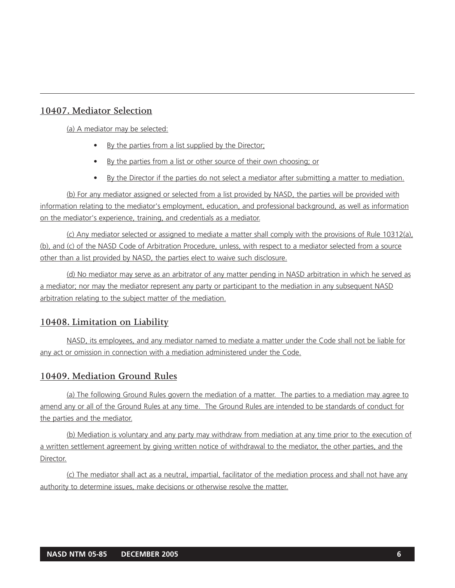# **10407. Mediator Selection**

(a) A mediator may be selected:

- By the parties from a list supplied by the Director;
- By the parties from a list or other source of their own choosing; or
- By the Director if the parties do not select a mediator after submitting a matter to mediation.

(b) For any mediator assigned or selected from a list provided by NASD, the parties will be provided with information relating to the mediator's employment, education, and professional background, as well as information on the mediator's experience, training, and credentials as a mediator.

(c) Any mediator selected or assigned to mediate a matter shall comply with the provisions of Rule 10312(a), (b), and (c) of the NASD Code of Arbitration Procedure, unless, with respect to a mediator selected from a source other than a list provided by NASD, the parties elect to waive such disclosure.

(d) No mediator may serve as an arbitrator of any matter pending in NASD arbitration in which he served as a mediator; nor may the mediator represent any party or participant to the mediation in any subsequent NASD arbitration relating to the subject matter of the mediation.

# **10408. Limitation on Liability**

NASD, its employees, and any mediator named to mediate a matter under the Code shall not be liable for any act or omission in connection with a mediation administered under the Code.

# **10409. Mediation Ground Rules**

(a) The following Ground Rules govern the mediation of a matter. The parties to a mediation may agree to amend any or all of the Ground Rules at any time. The Ground Rules are intended to be standards of conduct for the parties and the mediator.

(b) Mediation is voluntary and any party may withdraw from mediation at any time prior to the execution of a written settlement agreement by giving written notice of withdrawal to the mediator, the other parties, and the Director.

(c) The mediator shall act as a neutral, impartial, facilitator of the mediation process and shall not have any authority to determine issues, make decisions or otherwise resolve the matter.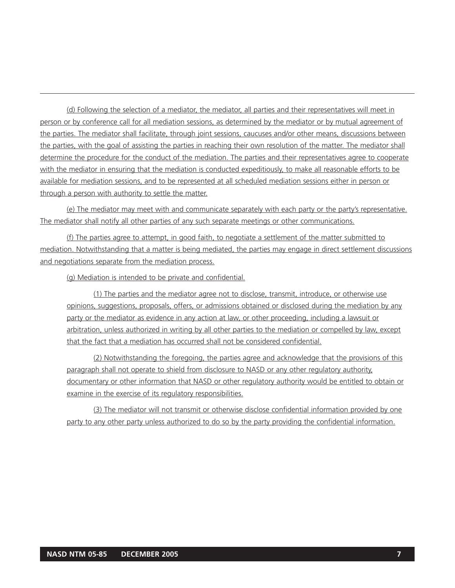(d) Following the selection of a mediator, the mediator, all parties and their representatives will meet in person or by conference call for all mediation sessions, as determined by the mediator or by mutual agreement of the parties. The mediator shall facilitate, through joint sessions, caucuses and/or other means, discussions between the parties, with the goal of assisting the parties in reaching their own resolution of the matter. The mediator shall determine the procedure for the conduct of the mediation. The parties and their representatives agree to cooperate with the mediator in ensuring that the mediation is conducted expeditiously, to make all reasonable efforts to be available for mediation sessions, and to be represented at all scheduled mediation sessions either in person or through a person with authority to settle the matter.

(e) The mediator may meet with and communicate separately with each party or the party's representative. The mediator shall notify all other parties of any such separate meetings or other communications.

(f) The parties agree to attempt, in good faith, to negotiate a settlement of the matter submitted to mediation. Notwithstanding that a matter is being mediated, the parties may engage in direct settlement discussions and negotiations separate from the mediation process.

(g) Mediation is intended to be private and confidential.

(1) The parties and the mediator agree not to disclose, transmit, introduce, or otherwise use opinions, suggestions, proposals, offers, or admissions obtained or disclosed during the mediation by any party or the mediator as evidence in any action at law, or other proceeding, including a lawsuit or arbitration, unless authorized in writing by all other parties to the mediation or compelled by law, except that the fact that a mediation has occurred shall not be considered confidential.

(2) Notwithstanding the foregoing, the parties agree and acknowledge that the provisions of this paragraph shall not operate to shield from disclosure to NASD or any other regulatory authority, documentary or other information that NASD or other regulatory authority would be entitled to obtain or examine in the exercise of its regulatory responsibilities.

(3) The mediator will not transmit or otherwise disclose confidential information provided by one party to any other party unless authorized to do so by the party providing the confidential information.